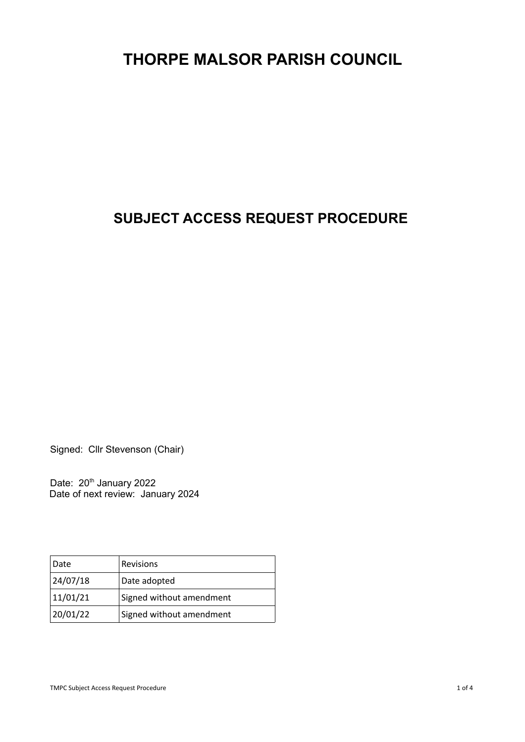# **THORPE MALSOR PARISH COUNCIL**

# **SUBJECT ACCESS REQUEST PROCEDURE**

Signed: Cllr Stevenson (Chair)

Date: 20<sup>th</sup> January 2022 Date of next review: January 2024

| Date     | <b>Revisions</b>         |
|----------|--------------------------|
| 24/07/18 | Date adopted             |
| 11/01/21 | Signed without amendment |
| 20/01/22 | Signed without amendment |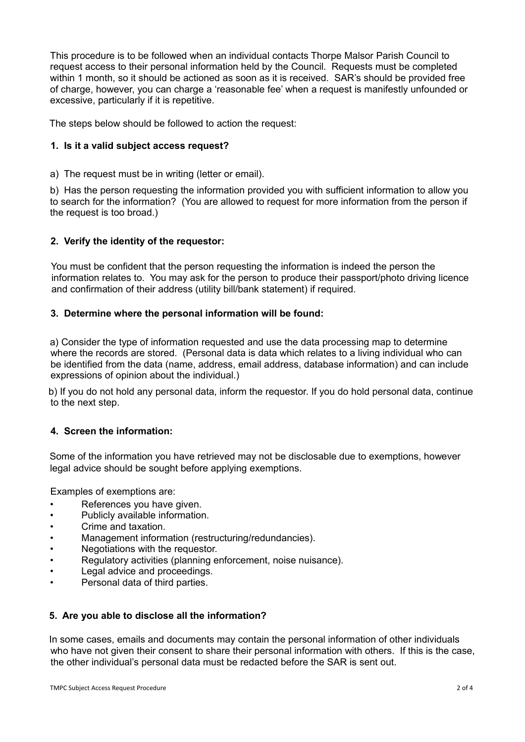This procedure is to be followed when an individual contacts Thorpe Malsor Parish Council to request access to their personal information held by the Council. Requests must be completed within 1 month, so it should be actioned as soon as it is received. SAR's should be provided free of charge, however, you can charge a 'reasonable fee' when a request is manifestly unfounded or excessive, particularly if it is repetitive.

The steps below should be followed to action the request:

# **1. Is it a valid subject access request?**

a) The request must be in writing (letter or email).

b) Has the person requesting the information provided you with sufficient information to allow you to search for the information? (You are allowed to request for more information from the person if the request is too broad.)

### **2. Verify the identity of the requestor:**

You must be confident that the person requesting the information is indeed the person the information relates to. You may ask for the person to produce their passport/photo driving licence and confirmation of their address (utility bill/bank statement) if required.

### **3. Determine where the personal information will be found:**

a) Consider the type of information requested and use the data processing map to determine where the records are stored. (Personal data is data which relates to a living individual who can be identified from the data (name, address, email address, database information) and can include expressions of opinion about the individual.)

b) If you do not hold any personal data, inform the requestor. If you do hold personal data, continue to the next step.

# **4. Screen the information:**

Some of the information you have retrieved may not be disclosable due to exemptions, however legal advice should be sought before applying exemptions.

Examples of exemptions are:

- References you have given.
- Publicly available information.
- Crime and taxation.
- Management information (restructuring/redundancies).
- Negotiations with the requestor.
- Regulatory activities (planning enforcement, noise nuisance).
- Legal advice and proceedings.
- Personal data of third parties.

# **5. Are you able to disclose all the information?**

In some cases, emails and documents may contain the personal information of other individuals who have not given their consent to share their personal information with others. If this is the case, the other individual's personal data must be redacted before the SAR is sent out.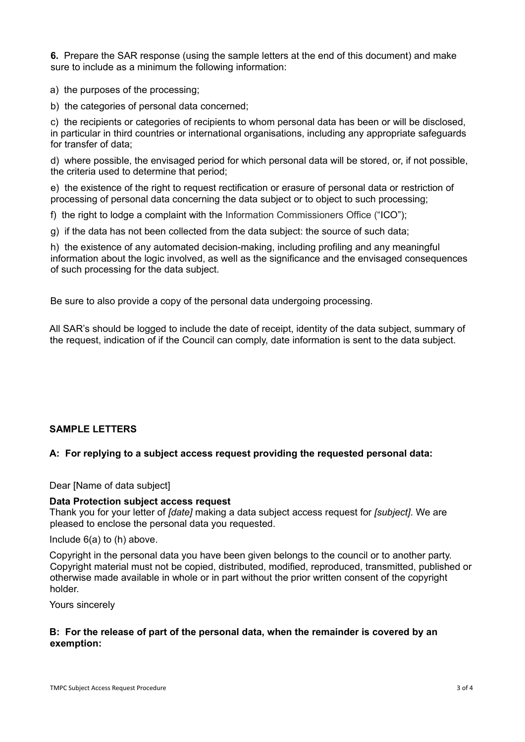**6.** Prepare the SAR response (using the sample letters at the end of this document) and make sure to include as a minimum the following information:

a) the purposes of the processing;

b) the categories of personal data concerned;

c) the recipients or categories of recipients to whom personal data has been or will be disclosed, in particular in third countries or international organisations, including any appropriate safeguards for transfer of data;

d) where possible, the envisaged period for which personal data will be stored, or, if not possible, the criteria used to determine that period;

e) the existence of the right to request rectification or erasure of personal data or restriction of processing of personal data concerning the data subject or to object to such processing;

f) the right to lodge a complaint with the Information Commissioners Office ("ICO");

g) if the data has not been collected from the data subject: the source of such data;

h) the existence of any automated decision-making, including profiling and any meaningful information about the logic involved, as well as the significance and the envisaged consequences of such processing for the data subject.

Be sure to also provide a copy of the personal data undergoing processing.

All SAR's should be logged to include the date of receipt, identity of the data subject, summary of the request, indication of if the Council can comply, date information is sent to the data subject.

# **SAMPLE LETTERS**

# **A: For replying to a subject access request providing the requested personal data:**

Dear [Name of data subject]

#### **Data Protection subject access request**

Thank you for your letter of *[date]* making a data subject access request for *[subject]*. We are pleased to enclose the personal data you requested.

Include 6(a) to (h) above.

Copyright in the personal data you have been given belongs to the council or to another party. Copyright material must not be copied, distributed, modified, reproduced, transmitted, published or otherwise made available in whole or in part without the prior written consent of the copyright holder.

Yours sincerely

### **B: For the release of part of the personal data, when the remainder is covered by an exemption:**